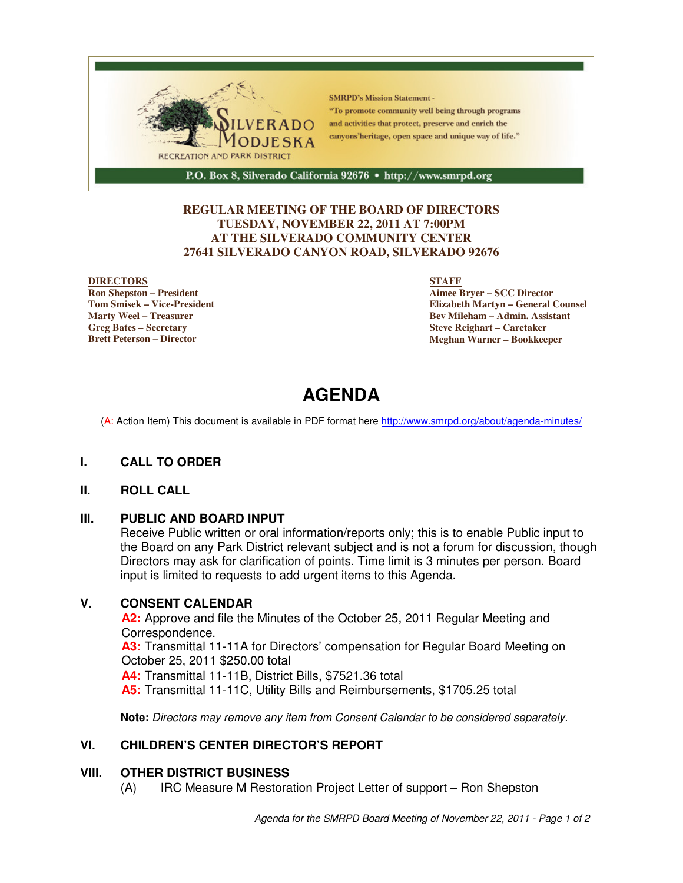

#### **REGULAR MEETING OF THE BOARD OF DIRECTORS TUESDAY, NOVEMBER 22, 2011 AT 7:00PM AT THE SILVERADO COMMUNITY CENTER 27641 SILVERADO CANYON ROAD, SILVERADO 92676**

#### **DIRECTORS**

**Ron Shepston – President Tom Smisek – Vice-President Marty Weel – Treasurer Greg Bates – Secretary Brett Peterson – Director**

#### **STAFF**

**Aimee Bryer – SCC Director Elizabeth Martyn – General Counsel Bev Mileham – Admin. Assistant Steve Reighart – Caretaker Meghan Warner – Bookkeeper**

# **AGENDA**

(A: Action Item) This document is available in PDF format here http://www.smrpd.org/about/agenda-minutes/

#### **I. CALL TO ORDER**

#### **II. ROLL CALL**

#### **III. PUBLIC AND BOARD INPUT**

Receive Public written or oral information/reports only; this is to enable Public input to the Board on any Park District relevant subject and is not a forum for discussion, though Directors may ask for clarification of points. Time limit is 3 minutes per person. Board input is limited to requests to add urgent items to this Agenda.

#### **V. CONSENT CALENDAR**

**A2:** Approve and file the Minutes of the October 25, 2011 Regular Meeting and Correspondence.

**A3:** Transmittal 11-11A for Directors' compensation for Regular Board Meeting on October 25, 2011 \$250.00 total

**A4:** Transmittal 11-11B, District Bills, \$7521.36 total

**A5:** Transmittal 11-11C, Utility Bills and Reimbursements, \$1705.25 total

**Note:** Directors may remove any item from Consent Calendar to be considered separately.

#### **VI. CHILDREN'S CENTER DIRECTOR'S REPORT**

#### **VIII. OTHER DISTRICT BUSINESS**

(A) IRC Measure M Restoration Project Letter of support – Ron Shepston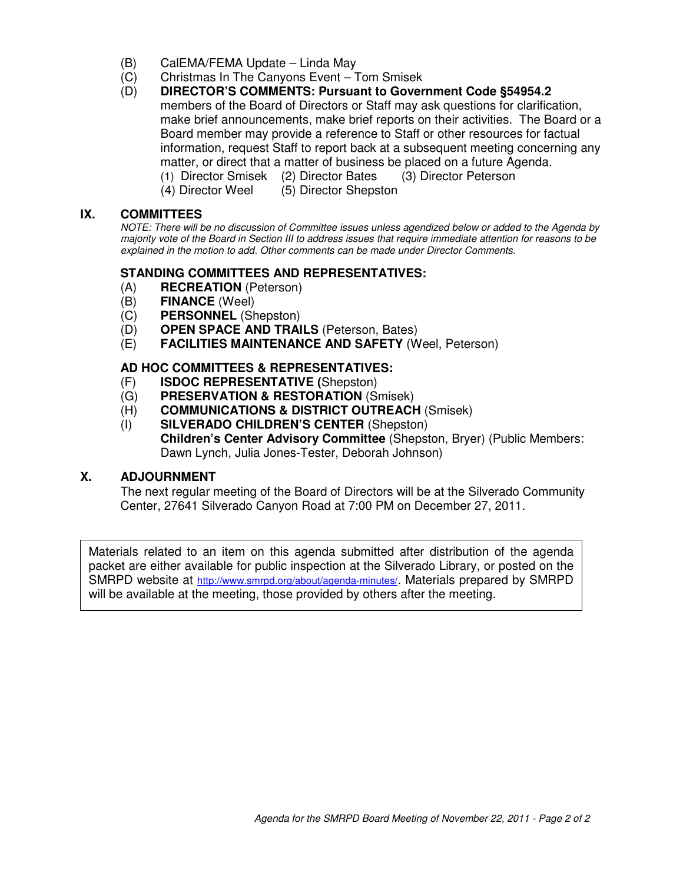- (B) CalEMA/FEMA Update Linda May
- (C) Christmas In The Canyons Event Tom Smisek
- (D) **DIRECTOR'S COMMENTS: Pursuant to Government Code §54954.2** members of the Board of Directors or Staff may ask questions for clarification, make brief announcements, make brief reports on their activities. The Board or a Board member may provide a reference to Staff or other resources for factual information, request Staff to report back at a subsequent meeting concerning any matter, or direct that a matter of business be placed on a future Agenda.
	- (1) Director Smisek (2) Director Bates (3) Director Peterson
		- (4) Director Weel (5) Director Shepston

## **IX. COMMITTEES**

NOTE: There will be no discussion of Committee issues unless agendized below or added to the Agenda by majority vote of the Board in Section III to address issues that require immediate attention for reasons to be explained in the motion to add. Other comments can be made under Director Comments.

### **STANDING COMMITTEES AND REPRESENTATIVES:**

- (A) **RECREATION** (Peterson)
- (B) **FINANCE** (Weel)
- (C) **PERSONNEL** (Shepston)
- (D) **OPEN SPACE AND TRAILS** (Peterson, Bates)
- (E) **FACILITIES MAINTENANCE AND SAFETY** (Weel, Peterson)

# **AD HOC COMMITTEES & REPRESENTATIVES:**

- (F) **ISDOC REPRESENTATIVE (**Shepston)
- (G) **PRESERVATION & RESTORATION** (Smisek)
- (H) **COMMUNICATIONS & DISTRICT OUTREACH** (Smisek)
- (I) **SILVERADO CHILDREN'S CENTER** (Shepston) **Children's Center Advisory Committee** (Shepston, Bryer) (Public Members: Dawn Lynch, Julia Jones-Tester, Deborah Johnson)

#### **X. ADJOURNMENT**

The next regular meeting of the Board of Directors will be at the Silverado Community Center, 27641 Silverado Canyon Road at 7:00 PM on December 27, 2011.

Materials related to an item on this agenda submitted after distribution of the agenda packet are either available for public inspection at the Silverado Library, or posted on the SMRPD website at http://www.smrpd.org/about/agenda-minutes/. Materials prepared by SMRPD will be available at the meeting, those provided by others after the meeting.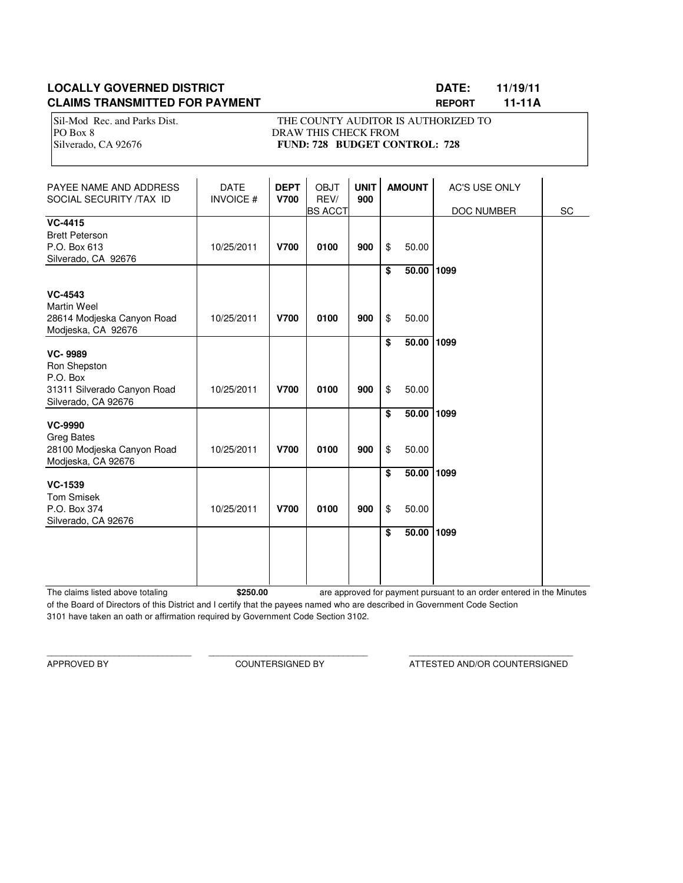# **LOCALLY GOVERNED DISTRICT LATE: LOCALLY GOVERNED DISTRICT LATE: 11/19/11 CLAIMS TRANSMITTED FOR PAYMENT REPORT 11-11A**

Sil-Mod Rec. and Parks Dist. THE COUNTY AUDITOR IS AUTHORIZED TO PO Box 8 DRAW THIS CHECK FROM Silverado, CA 92676 **FUND: 728 BUDGET CONTROL: 728** 

| PAYEE NAME AND ADDRESS<br>SOCIAL SECURITY /TAX ID                                                | <b>DATE</b><br><b>INVOICE#</b> | <b>DEPT</b><br><b>V700</b> | <b>OBJT</b><br>REV/<br><b>BS ACCT</b> | <b>UNIT</b><br>900 |          | <b>AMOUNT</b>  | AC'S USE ONLY<br>DOC NUMBER | SC |
|--------------------------------------------------------------------------------------------------|--------------------------------|----------------------------|---------------------------------------|--------------------|----------|----------------|-----------------------------|----|
| <b>VC-4415</b><br><b>Brett Peterson</b><br>P.O. Box 613<br>Silverado, CA 92676                   | 10/25/2011                     | <b>V700</b>                | 0100                                  | 900                | \$       | 50.00          |                             |    |
| <b>VC-4543</b><br><b>Martin Weel</b><br>28614 Modjeska Canyon Road<br>Modjeska, CA 92676         | 10/25/2011                     | <b>V700</b>                | 0100                                  | 900                | \$<br>\$ | 50.00<br>50.00 | 1099                        |    |
| <b>VC-9989</b><br>Ron Shepston<br>P.O. Box<br>31311 Silverado Canyon Road<br>Silverado, CA 92676 | 10/25/2011                     | <b>V700</b>                | 0100                                  | 900                | \$<br>\$ | 50.00<br>50.00 | 1099                        |    |
| <b>VC-9990</b><br><b>Greg Bates</b><br>28100 Modjeska Canyon Road<br>Modjeska, CA 92676          | 10/25/2011                     | <b>V700</b>                | 0100                                  | 900                | \$<br>\$ | 50.00<br>50.00 | 1099                        |    |
| <b>VC-1539</b><br><b>Tom Smisek</b><br>P.O. Box 374<br>Silverado, CA 92676                       | 10/25/2011                     | <b>V700</b>                | 0100                                  | 900                | \$<br>\$ | 50.00<br>50.00 | 1099                        |    |
|                                                                                                  |                                |                            |                                       |                    | \$       | 50.00          | 1099                        |    |

The claims listed above totaling **\$250.00** of the Board of Directors of this District and I certify that the payees named who are described in Government Code Section 3101 have taken an oath or affirmation required by Government Code Section 3102. are approved for payment pursuant to an order entered in the Minutes

\_\_\_\_\_\_\_\_\_\_\_\_\_\_\_\_\_\_\_\_\_\_\_\_\_\_\_\_\_\_ \_\_\_\_\_\_\_\_\_\_\_\_\_\_\_\_\_\_\_\_\_\_\_\_\_\_\_\_\_\_\_\_\_ \_\_\_\_\_\_\_\_\_\_\_\_\_\_\_\_\_\_\_\_\_\_\_\_\_\_\_\_\_\_\_\_\_\_

APPROVED BY COUNTERSIGNED BY ATTESTED AND/OR COUNTERSIGNED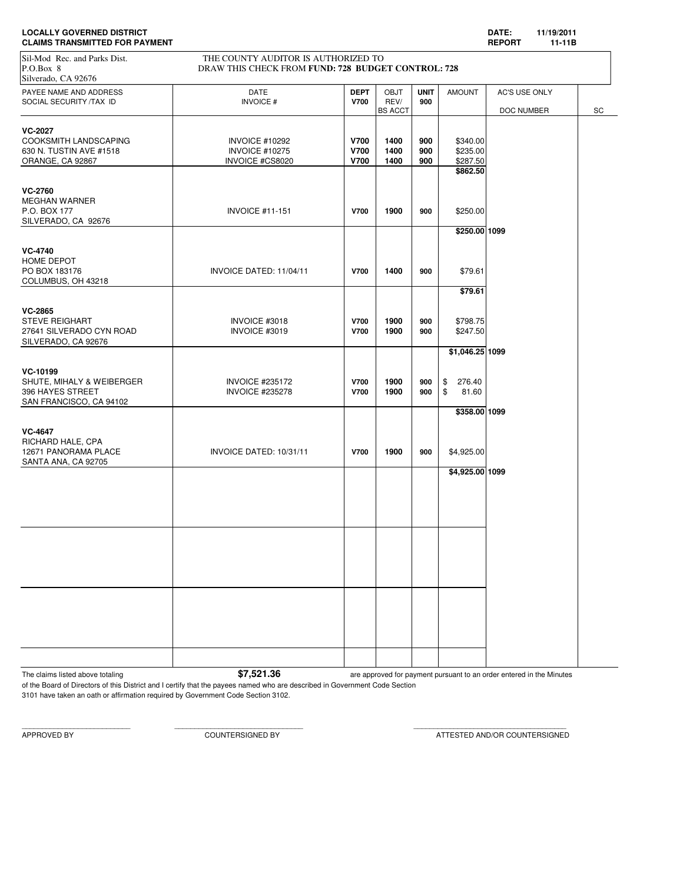| <b>LOCALLY GOVERNED DISTRICT</b>      | <b>DATE</b>                   |  |
|---------------------------------------|-------------------------------|--|
| <b>CLAIMS TRANSMITTED FOR PAYMENT</b> | <b>REPOR</b><br>$\sim$ $\sim$ |  |

**CLAIMS TRANSMITTED FOR PAYMENT REPORT 11-11B** PAYEE NAME AND ADDRESS **DATE DATE DATE DEPT** | OBJT **UNIT** AMOUNT | AC'S USE ONLY SOCIAL SECURITY /TAX ID **INVOICE #** INVOICE # **V700** REV/ **900** BS ACCT | DOC NUMBER SC **VC-2027** COOKSMITH LANDSCAPING INVOICE #10292 **V700 1400 900** \$340.00 630 N. TUSTIN AVE #1518 INVOICE #10275 **V700 1400 900** \$235.00 ORANGE, CA 92867 INVOICE #CS8020 **V700 1400 900** \$287.50 **\$862.50 VC-2760** MEGHAN WARNER P.O. BOX 177 INVOICE #11-151 **V700 1900 900** \$250.00 SILVERADO, CA 92676 **\$250.00 1099 VC-4740** HOME DEPOT PO BOX 183176 INVOICE DATED: 11/04/11 **V700 1400 900** \$79.61 COLUMBUS, OH 43218 **\$79.61 VC-2865** STEVE REIGHART INVOICE #3018 **V700 1900 900** \$798.75 27641 SILVERADO CYN ROAD INVOICE #3019 **V700 1900 900** \$247.50 SILVERADO, CA 92676 **\$1,046.25 1099 VC-10199** SHUTE, MIHALY & WEIBERGER INVOICE #235172 **V700 1900 900** \$ 276.40 396 HAYES STREET INVOICE #235278 **V700 1900 900** \$ 81.60 SAN FRANCISCO, CA 94102 **\$358.00 1099 VC-4647** RICHARD HALE, CPA 12671 PANORAMA PLACE INVOICE DATED: 10/31/11 **V700 1900 900** \$4,925.00 SANTA ANA, CA 92705 **\$4,925.00 1099** Sil-Mod Rec. and Parks Dist.<br>
P.O.Box 8<br>
DRAW THIS CHECK FROM FUND: 728 BUDGE DRAW THIS CHECK FROM **FUND: 728 BUDGET CONTROL: 728** Silverado, CA 92676

The claims listed above totaling **\$7,521.36** are approved for payment pursuant to an order entered in the Minutes

of the Board of Directors of this District and I certify that the payees named who are described in Government Code Section 3101 have taken an oath or affirmation required by Government Code Section 3102.

APPROVED BY COUNTERSIGNED BY ATTESTED AND/OR COUNTERSIGNED